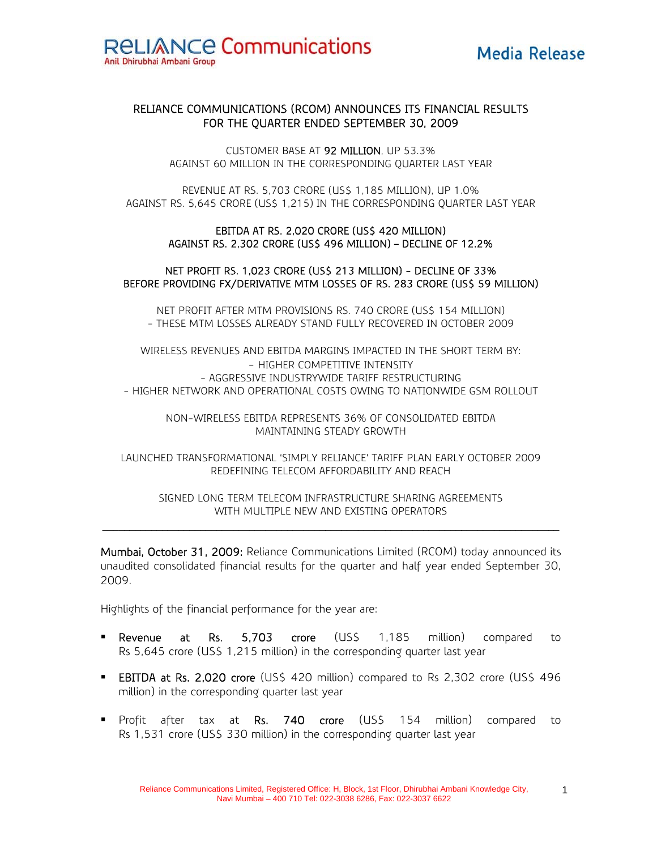# RELIANCE COMMUNICATIONS (RCOM) ANNOUNCES ITS FINANCIAL RESULTS FOR THE QUARTER ENDED SEPTEMBER 30, 2009

CUSTOMER BASE AT 92 MILLION, UP 53.3% AGAINST 60 MILLION IN THE CORRESPONDING QUARTER LAST YEAR

REVENUE AT RS. 5,703 CRORE (US\$ 1,185 MILLION), UP 1.0% AGAINST RS. 5,645 CRORE (US\$ 1,215) IN THE CORRESPONDING QUARTER LAST YEAR

#### EBITDA AT RS. 2,020 CRORE (US\$ 420 MILLION) AGAINST RS. 2,302 CRORE (US\$ 496 MILLION) – DECLINE OF 12.2%

## NET PROFIT RS. 1,023 CRORE (US\$ 213 MILLION) - DECLINE OF 33% BEFORE PROVIDING FX/DERIVATIVE MTM LOSSES OF RS. 283 CRORE (US\$ 59 MILLION)

NET PROFIT AFTER MTM PROVISIONS RS. 740 CRORE (US\$ 154 MILLION) - THESE MTM LOSSES ALREADY STAND FULLY RECOVERED IN OCTOBER 2009

WIRELESS REVENUES AND EBITDA MARGINS IMPACTED IN THE SHORT TERM BY: - HIGHER COMPETITIVE INTENSITY - AGGRESSIVE INDUSTRYWIDE TARIFF RESTRUCTURING - HIGHER NETWORK AND OPERATIONAL COSTS OWING TO NATIONWIDE GSM ROLLOUT

NON-WIRELESS EBITDA REPRESENTS 36% OF CONSOLIDATED EBITDA MAINTAINING STEADY GROWTH

LAUNCHED TRANSFORMATIONAL 'SIMPLY RELIANCE' TARIFF PLAN EARLY OCTOBER 2009 REDEFINING TELECOM AFFORDABILITY AND REACH

SIGNED LONG TERM TELECOM INFRASTRUCTURE SHARING AGREEMENTS WITH MULTIPLE NEW AND EXISTING OPERATORS

Mumbai, October 31, 2009: Reliance Communications Limited (RCOM) today announced its unaudited consolidated financial results for the quarter and half year ended September 30, 2009.

Highlights of the financial performance for the year are:

- **Revenue at Rs. 5,703 crore** (US\$ 1,185 million) compared to Rs 5,645 crore (US\$ 1,215 million) in the corresponding quarter last year
- EBITDA at Rs. 2,020 crore (US\$ 420 million) compared to Rs 2,302 crore (US\$ 496 million) in the corresponding quarter last year
- **Profit after tax at Rs. 740 crore (US\$ 154 million) compared to resear to** Rs 1,531 crore (US\$ 330 million) in the corresponding quarter last year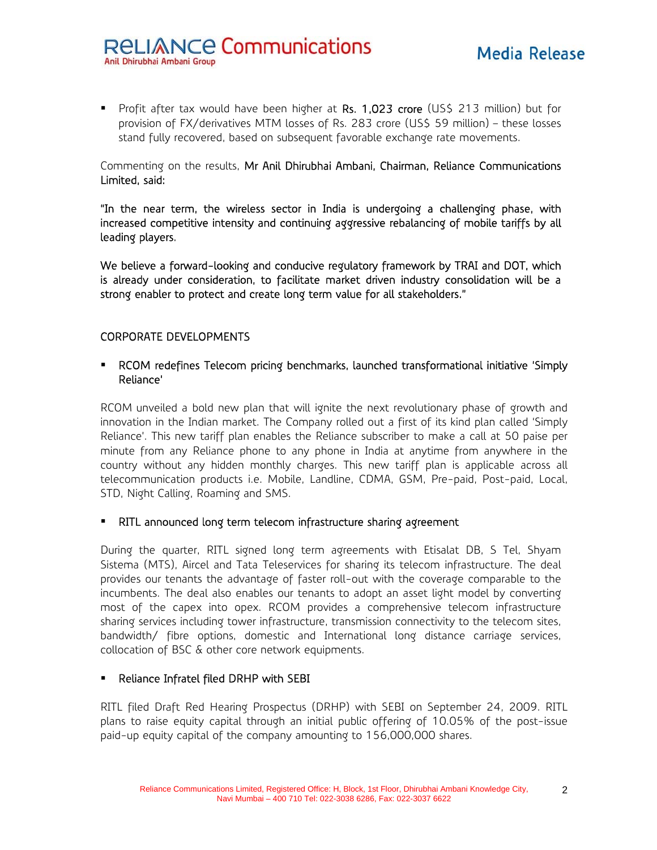**Profit after tax would have been higher at Rs. 1,023 crore (US\$ 213 million) but form** provision of FX/derivatives MTM losses of Rs. 283 crore (US\$ 59 million) – these losses stand fully recovered, based on subsequent favorable exchange rate movements.

Commenting on the results, Mr Anil Dhirubhai Ambani, Chairman, Reliance Communications Limited, said:

"In the near term, the wireless sector in India is undergoing a challenging phase, with increased competitive intensity and continuing aggressive rebalancing of mobile tariffs by all leading players.

We believe a forward-looking and conducive regulatory framework by TRAI and DOT, which is already under consideration, to facilitate market driven industry consolidation will be a strong enabler to protect and create long term value for all stakeholders."

# CORPORATE DEVELOPMENTS

# RCOM redefines Telecom pricing benchmarks, launched transformational initiative 'Simply Reliance'

RCOM unveiled a bold new plan that will ignite the next revolutionary phase of growth and innovation in the Indian market. The Company rolled out a first of its kind plan called 'Simply Reliance'. This new tariff plan enables the Reliance subscriber to make a call at 50 paise per minute from any Reliance phone to any phone in India at anytime from anywhere in the country without any hidden monthly charges. This new tariff plan is applicable across all telecommunication products i.e. Mobile, Landline, CDMA, GSM, Pre-paid, Post-paid, Local, STD, Night Calling, Roaming and SMS.

## RITL announced long term telecom infrastructure sharing agreement

During the quarter, RITL signed long term agreements with Etisalat DB, S Tel, Shyam Sistema (MTS), Aircel and Tata Teleservices for sharing its telecom infrastructure. The deal provides our tenants the advantage of faster roll-out with the coverage comparable to the incumbents. The deal also enables our tenants to adopt an asset light model by converting most of the capex into opex. RCOM provides a comprehensive telecom infrastructure sharing services including tower infrastructure, transmission connectivity to the telecom sites, bandwidth/ fibre options, domestic and International long distance carriage services, collocation of BSC & other core network equipments.

## **Reliance Infratel filed DRHP with SEBI**

RITL filed Draft Red Hearing Prospectus (DRHP) with SEBI on September 24, 2009. RITL plans to raise equity capital through an initial public offering of 10.05% of the post-issue paid-up equity capital of the company amounting to 156,000,000 shares.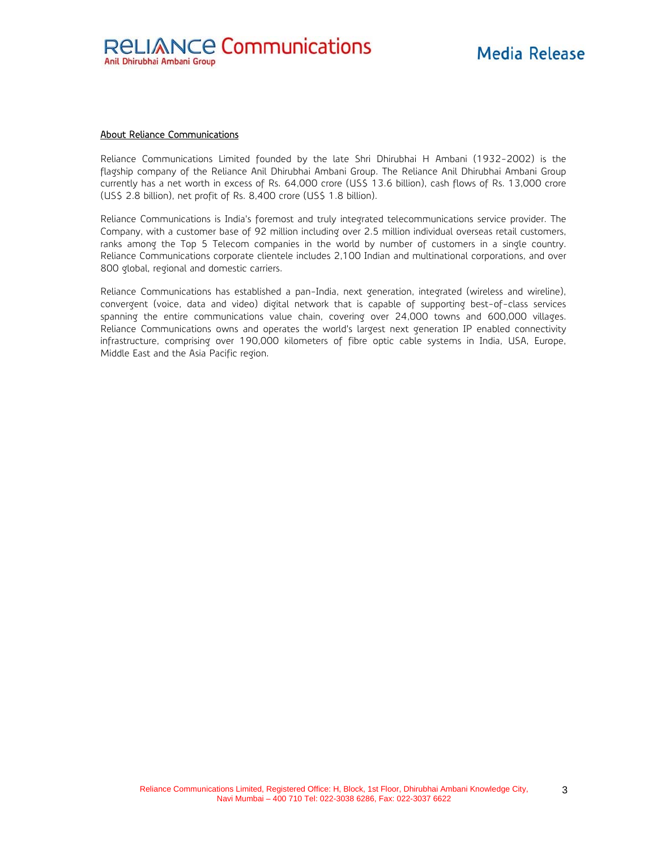#### About Reliance Communications

Reliance Communications Limited founded by the late Shri Dhirubhai H Ambani (1932-2002) is the flagship company of the Reliance Anil Dhirubhai Ambani Group. The Reliance Anil Dhirubhai Ambani Group currently has a net worth in excess of Rs. 64,000 crore (US\$ 13.6 billion), cash flows of Rs. 13,000 crore (US\$ 2.8 billion), net profit of Rs. 8,400 crore (US\$ 1.8 billion).

Reliance Communications is India's foremost and truly integrated telecommunications service provider. The Company, with a customer base of 92 million including over 2.5 million individual overseas retail customers, ranks among the Top 5 Telecom companies in the world by number of customers in a single country. Reliance Communications corporate clientele includes 2,100 Indian and multinational corporations, and over 800 global, regional and domestic carriers.

Reliance Communications has established a pan-India, next generation, integrated (wireless and wireline), convergent (voice, data and video) digital network that is capable of supporting best-of-class services spanning the entire communications value chain, covering over 24,000 towns and 600,000 villages. Reliance Communications owns and operates the world's largest next generation IP enabled connectivity infrastructure, comprising over 190,000 kilometers of fibre optic cable systems in India, USA, Europe, Middle East and the Asia Pacific region.